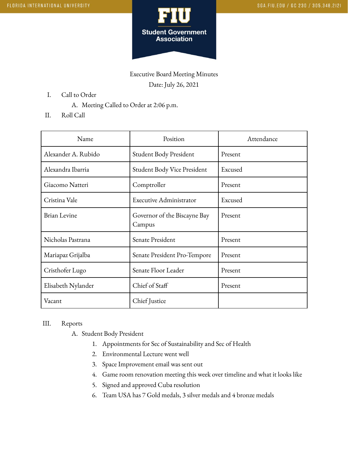

Executive Board Meeting Minutes Date: July 26, 2021

- I. Call to Order
	- A. Meeting Called to Order at 2:06 p.m.
- II. Roll Call

| Name                | Position                               | Attendance |
|---------------------|----------------------------------------|------------|
| Alexander A. Rubido | Student Body President                 | Present    |
| Alexandra Ibarria   | Student Body Vice President            | Excused    |
| Giacomo Natteri     | Comptroller                            | Present    |
| Cristina Vale       | Executive Administrator                | Excused    |
| <b>Brian Levine</b> | Governor of the Biscayne Bay<br>Campus | Present    |
| Nicholas Pastrana   | Senate President                       | Present    |
| Mariapaz Grijalba   | Senate President Pro-Tempore           | Present    |
| Cristhofer Lugo     | Senate Floor Leader                    | Present    |
| Elisabeth Nylander  | Chief of Staff                         | Present    |
| Vacant              | Chief Justice                          |            |

## III. Reports

A. Student Body President

- 1. Appointments for Sec of Sustainability and Sec of Health
- 2. Environmental Lecture went well
- 3. Space Improvement email was sent out
- 4. Game room renovation meeting this week over timeline and what it looks like
- 5. Signed and approved Cuba resolution
- 6. Team USA has 7 Gold medals, 3 silver medals and 4 bronze medals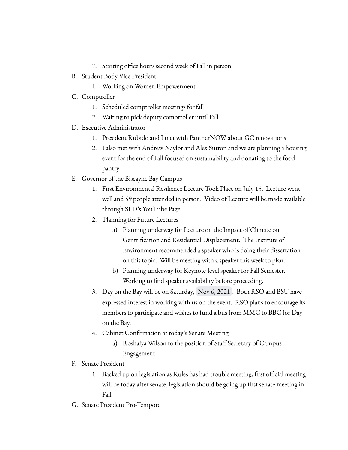- 7. Starting office hours second week of Fall in person
- B. Student Body Vice President
	- 1. Working on Women Empowerment
- C. Comptroller
	- 1. Scheduled comptroller meetings for fall
	- 2. Waiting to pick deputy comptroller until Fall
- D. Executive Administrator
	- 1. President Rubido and I met with PantherNOW about GC renovations
	- 2. I also met with Andrew Naylor and Alex Sutton and we are planning a housing event for the end of Fall focused on sustainability and donating to the food pantry
- E. Governor of the Biscayne Bay Campus
	- 1. First Environmental Resilience Lecture Took Place on July 15. Lecture went well and 59 people attended in person. Video of Lecture will be made available through SLD's YouTube Page.
	- 2. Planning for Future Lectures
		- a) Planning underway for Lecture on the Impact of Climate on Gentrification and Residential Displacement. The Institute of Environment recommended a speaker who is doing their dissertation on this topic. Will be meeting with a speaker this week to plan.
		- b) Planning underway for Keynote-level speaker for Fall Semester. Working to find speaker availability before proceeding.
	- 3. Day on the Bay will be on Saturday, Nov 6, 2021 . Both RSO and BSU have expressed interest in working with us on the event. RSO plans to encourage its members to participate and wishes to fund a bus from MMC to BBC for Day on the Bay.
	- 4. Cabinet Confirmation at today's Senate Meeting
		- a) Roshaiya Wilson to the position of Staff Secretary of Campus Engagement
- F. Senate President
	- 1. Backed up on legislation as Rules has had trouble meeting, first official meeting will be today after senate, legislation should be going up first senate meeting in Fall
- G. Senate President Pro-Tempore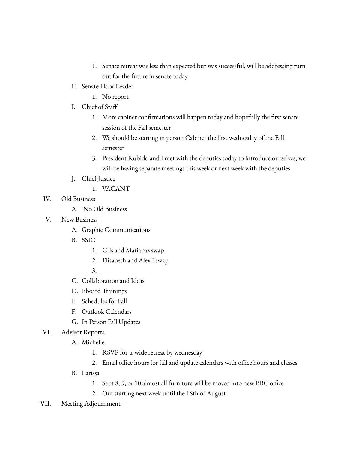- 1. Senate retreat was less than expected but was successful, will be addressing turn out for the future in senate today
- H. Senate Floor Leader
	- 1. No report
- I. Chief of Staff
	- 1. More cabinet confirmations will happen today and hopefully the first senate session of the Fall semester
	- 2. We should be starting in person Cabinet the first wednesday of the Fall semester
	- 3. President Rubido and I met with the deputies today to introduce ourselves, we will be having separate meetings this week or next week with the deputies
- J. Chief Justice
	- 1. VACANT
- IV. Old Business
	- A. No Old Business
- V. New Business
	- A. Graphic Communications
	- B. SSIC
		- 1. Cris and Mariapaz swap
		- 2. Elisabeth and Alex I swap
		- 3.
	- C. Collaboration and Ideas
	- D. Eboard Trainings
	- E. Schedules for Fall
	- F. Outlook Calendars
	- G. In Person Fall Updates
- VI. Advisor Reports
	- A. Michelle
		- 1. RSVP for u-wide retreat by wednesday
		- 2. Email office hours for fall and update calendars with office hours and classes
	- B. Larissa
		- 1. Sept 8, 9, or 10 almost all furniture will be moved into new BBC office
		- 2. Out starting next week until the 16th of August
- VII. Meeting Adjournment